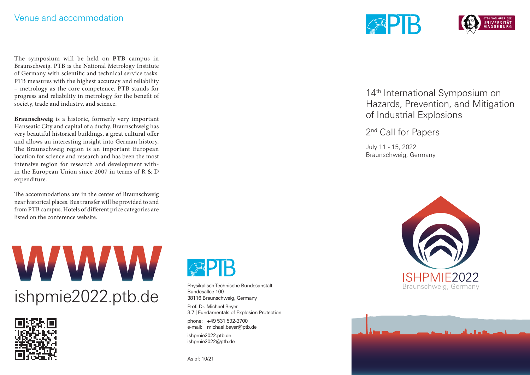The symposium will be held on **PTB** campus in Braunschweig. PTB is the National Metrology Institute of Germany with scientific and technical service tasks. PTB measures with the highest accuracy and reliability – metrology as the core competence. PTB stands for progress and reliability in metrology for the benefit of society, trade and industry, and science.

**Braunschweig** is a historic, formerly very important Hanseatic City and capital of a duchy. Braunschweig has very beautiful historical buildings, a great cultural offer and allows an interesting insight into German history. The Braunschweig region is an important European location for science and research and has been the most intensive region for research and development within the European Union since 2007 in terms of R & D expenditure.

The accommodations are in the center of Braunschweig near historical places. Bus transfer will be provided to and from PTB campus. Hotels of different price categories are listed on the conference website.







Physikalisch-Technische Bundesanstalt Bundesallee 100 38116 Braunschweig, Germany

Prof. Dr. Michael Beyer 3.7 | Fundamentals of Explosion Protection

phone: +49 531 592-3700 e-mail: michael.beyer@ptb.de

ishpmie2022.ptb.de ishpmie2022@ptb.de

As of: 10/21



14<sup>th</sup> International Symposium on Hazards, Prevention, and Mitigation of Industrial Explosions

2<sup>nd</sup> Call for Papers

July 11 - 15, 2022 Braunschweig, Germany